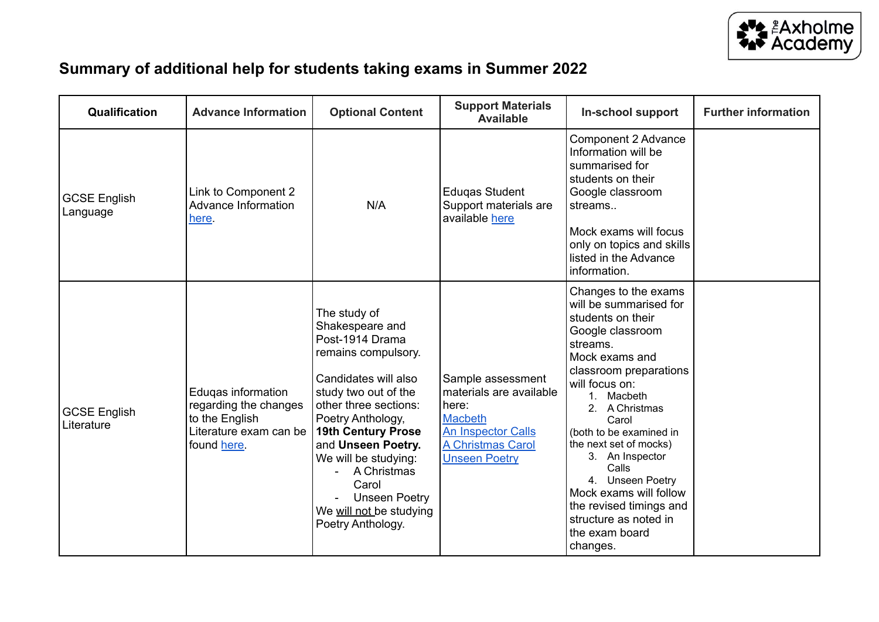

## **Summary of additional help for students taking exams in Summer 2022**

| Qualification                     | <b>Advance Information</b>                                                                             | <b>Optional Content</b>                                                                                                                                                                                                                                                                                                                     | <b>Support Materials</b><br><b>Available</b>                                                                                               | In-school support                                                                                                                                                                                                                                                                                                                                                                                                           | <b>Further information</b> |
|-----------------------------------|--------------------------------------------------------------------------------------------------------|---------------------------------------------------------------------------------------------------------------------------------------------------------------------------------------------------------------------------------------------------------------------------------------------------------------------------------------------|--------------------------------------------------------------------------------------------------------------------------------------------|-----------------------------------------------------------------------------------------------------------------------------------------------------------------------------------------------------------------------------------------------------------------------------------------------------------------------------------------------------------------------------------------------------------------------------|----------------------------|
| <b>GCSE English</b><br>Language   | Link to Component 2<br>Advance Information<br>here.                                                    | N/A                                                                                                                                                                                                                                                                                                                                         | <b>Eduqas Student</b><br>Support materials are<br>available here                                                                           | Component 2 Advance<br>Information will be<br>summarised for<br>students on their<br>Google classroom<br>streams<br>Mock exams will focus<br>only on topics and skills<br>listed in the Advance<br>information.                                                                                                                                                                                                             |                            |
| <b>GCSE English</b><br>Literature | Edugas information<br>regarding the changes<br>to the English<br>Literature exam can be<br>found here. | The study of<br>Shakespeare and<br>Post-1914 Drama<br>remains compulsory.<br>Candidates will also<br>study two out of the<br>other three sections:<br>Poetry Anthology,<br>19th Century Prose<br>and Unseen Poetry.<br>We will be studying:<br>A Christmas<br>Carol<br><b>Unseen Poetry</b><br>We will not be studying<br>Poetry Anthology. | Sample assessment<br>materials are available<br>here:<br>Macbeth<br><b>An Inspector Calls</b><br>A Christmas Carol<br><b>Unseen Poetry</b> | Changes to the exams<br>will be summarised for<br>students on their<br>Google classroom<br>streams.<br>Mock exams and<br>classroom preparations<br>will focus on:<br>1. Macbeth<br>2. A Christmas<br>Carol<br>(both to be examined in<br>the next set of mocks)<br>3. An Inspector<br>Calls<br>4. Unseen Poetry<br>Mock exams will follow<br>the revised timings and<br>structure as noted in<br>the exam board<br>changes. |                            |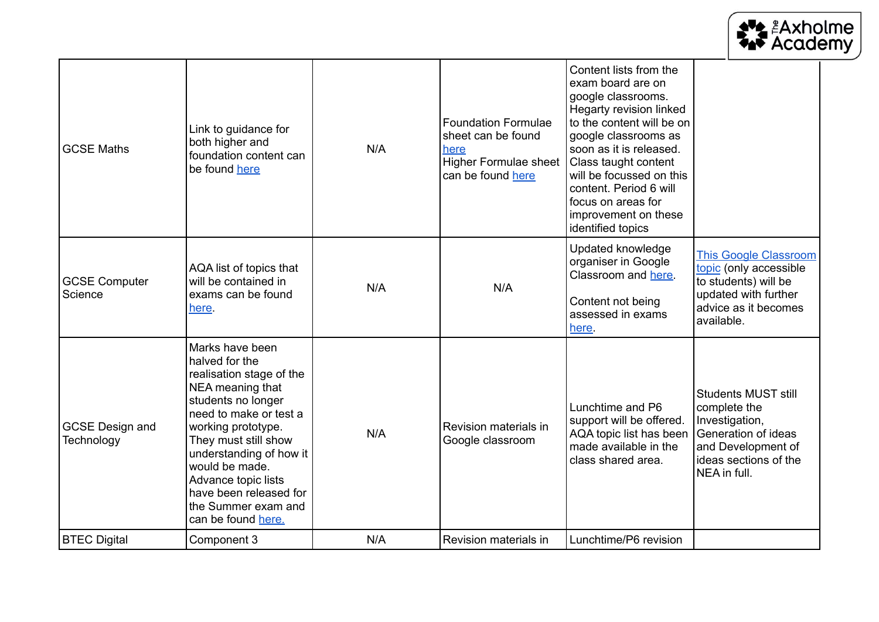|                                      |                                                                                                                                                                                                                                                                                                                            |     |                                                                                                               |                                                                                                                                                                                                                                                                                                                               | <b>AVA ARANDIME</b><br>AN Academy                                                                                                                  |
|--------------------------------------|----------------------------------------------------------------------------------------------------------------------------------------------------------------------------------------------------------------------------------------------------------------------------------------------------------------------------|-----|---------------------------------------------------------------------------------------------------------------|-------------------------------------------------------------------------------------------------------------------------------------------------------------------------------------------------------------------------------------------------------------------------------------------------------------------------------|----------------------------------------------------------------------------------------------------------------------------------------------------|
| <b>GCSE Maths</b>                    | Link to guidance for<br>both higher and<br>foundation content can<br>be found here                                                                                                                                                                                                                                         | N/A | <b>Foundation Formulae</b><br>sheet can be found<br>here<br><b>Higher Formulae sheet</b><br>can be found here | Content lists from the<br>exam board are on<br>google classrooms.<br>Hegarty revision linked<br>to the content will be on<br>google classrooms as<br>soon as it is released.<br>Class taught content<br>will be focussed on this<br>content. Period 6 will<br>focus on areas for<br>improvement on these<br>identified topics |                                                                                                                                                    |
| <b>GCSE Computer</b><br>Science      | AQA list of topics that<br>will be contained in<br>exams can be found<br>here.                                                                                                                                                                                                                                             | N/A | N/A                                                                                                           | Updated knowledge<br>organiser in Google<br>Classroom and here.<br>Content not being<br>assessed in exams<br>here.                                                                                                                                                                                                            | <b>This Google Classroom</b><br>topic (only accessible<br>to students) will be<br>updated with further<br>advice as it becomes<br>available.       |
| <b>GCSE Design and</b><br>Technology | Marks have been<br>halved for the<br>realisation stage of the<br>NEA meaning that<br>students no longer<br>need to make or test a<br>working prototype.<br>They must still show<br>understanding of how it<br>would be made.<br>Advance topic lists<br>have been released for<br>the Summer exam and<br>can be found here. | N/A | Revision materials in<br>Google classroom                                                                     | Lunchtime and P6<br>support will be offered.<br>AQA topic list has been<br>made available in the<br>class shared area.                                                                                                                                                                                                        | <b>Students MUST still</b><br>complete the<br>Investigation,<br>Generation of ideas<br>and Development of<br>ideas sections of the<br>NEA in full. |
| <b>BTEC Digital</b>                  | Component 3                                                                                                                                                                                                                                                                                                                | N/A | Revision materials in                                                                                         | Lunchtime/P6 revision                                                                                                                                                                                                                                                                                                         |                                                                                                                                                    |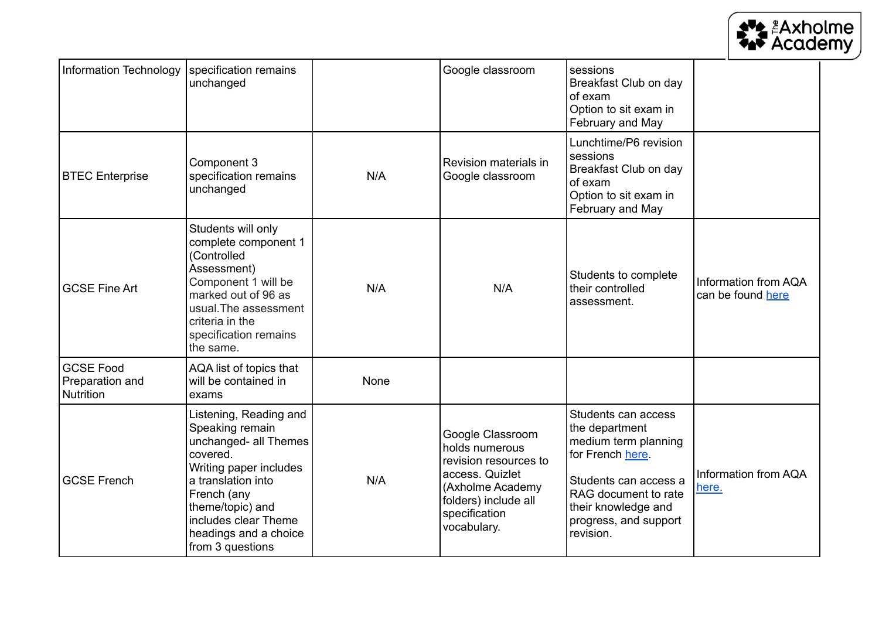

| Information Technology                           | specification remains<br>unchanged                                                                                                                                                                                                     |      | Google classroom                                                                                                                                           | sessions<br>Breakfast Club on day<br>of exam<br>Option to sit exam in<br>February and May                                                                                                       |                                           |
|--------------------------------------------------|----------------------------------------------------------------------------------------------------------------------------------------------------------------------------------------------------------------------------------------|------|------------------------------------------------------------------------------------------------------------------------------------------------------------|-------------------------------------------------------------------------------------------------------------------------------------------------------------------------------------------------|-------------------------------------------|
| <b>BTEC</b> Enterprise                           | Component 3<br>specification remains<br>unchanged                                                                                                                                                                                      | N/A  | Revision materials in<br>Google classroom                                                                                                                  | Lunchtime/P6 revision<br>sessions<br>Breakfast Club on day<br>of exam<br>Option to sit exam in<br>February and May                                                                              |                                           |
| <b>GCSE Fine Art</b>                             | Students will only<br>complete component 1<br>(Controlled<br>Assessment)<br>Component 1 will be<br>marked out of 96 as<br>usual. The assessment<br>criteria in the<br>specification remains<br>the same.                               | N/A  | N/A                                                                                                                                                        | Students to complete<br>their controlled<br>assessment.                                                                                                                                         | Information from AQA<br>can be found here |
| <b>GCSE Food</b><br>Preparation and<br>Nutrition | AQA list of topics that<br>will be contained in<br>exams                                                                                                                                                                               | None |                                                                                                                                                            |                                                                                                                                                                                                 |                                           |
| <b>GCSE French</b>                               | Listening, Reading and<br>Speaking remain<br>unchanged- all Themes<br>covered.<br>Writing paper includes<br>a translation into<br>French (any<br>theme/topic) and<br>includes clear Theme<br>headings and a choice<br>from 3 questions | N/A  | Google Classroom<br>holds numerous<br>revision resources to<br>access. Quizlet<br>(Axholme Academy<br>folders) include all<br>specification<br>vocabulary. | Students can access<br>the department<br>medium term planning<br>for French here.<br>Students can access a<br>RAG document to rate<br>their knowledge and<br>progress, and support<br>revision. | Information from AQA<br>here.             |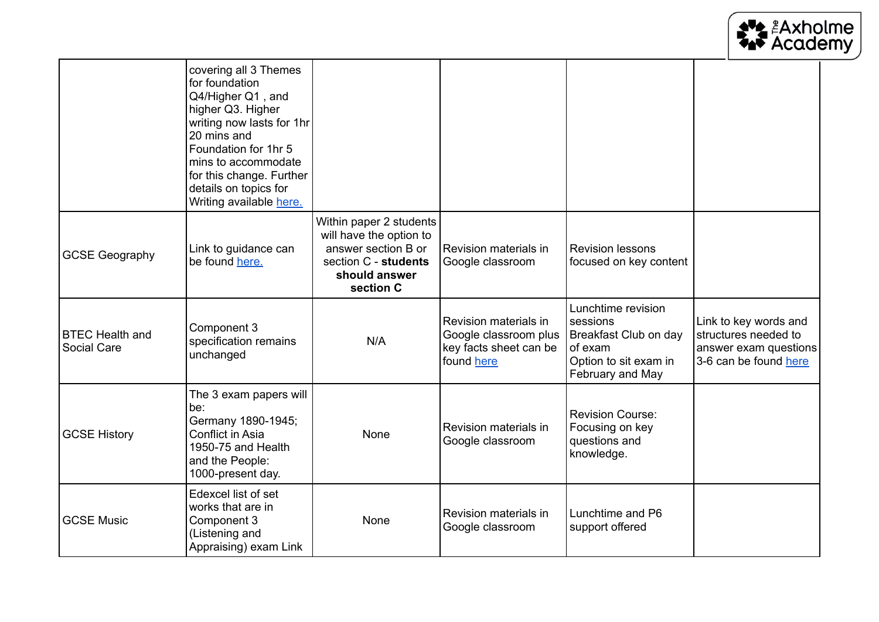

|                                       | covering all 3 Themes<br>for foundation<br>Q4/Higher Q1, and<br>higher Q3. Higher<br>writing now lasts for 1hr<br>20 mins and<br>Foundation for 1hr 5<br>mins to accommodate<br>for this change. Further<br>details on topics for<br>Writing available here. |                                                                                                                                 |                                                                                        |                                                                                                                 |                                                                                                 |
|---------------------------------------|--------------------------------------------------------------------------------------------------------------------------------------------------------------------------------------------------------------------------------------------------------------|---------------------------------------------------------------------------------------------------------------------------------|----------------------------------------------------------------------------------------|-----------------------------------------------------------------------------------------------------------------|-------------------------------------------------------------------------------------------------|
| <b>GCSE Geography</b>                 | Link to guidance can<br>be found here.                                                                                                                                                                                                                       | Within paper 2 students<br>will have the option to<br>answer section B or<br>section C - students<br>should answer<br>section C | Revision materials in<br>Google classroom                                              | <b>Revision lessons</b><br>focused on key content                                                               |                                                                                                 |
| <b>BTEC Health and</b><br>Social Care | Component 3<br>specification remains<br>unchanged                                                                                                                                                                                                            | N/A                                                                                                                             | Revision materials in<br>Google classroom plus<br>key facts sheet can be<br>found here | Lunchtime revision<br>sessions<br>Breakfast Club on day<br>of exam<br>Option to sit exam in<br>February and May | Link to key words and<br>structures needed to<br>answer exam questions<br>3-6 can be found here |
| <b>GCSE History</b>                   | The 3 exam papers will<br>be:<br>Germany 1890-1945;<br>Conflict in Asia<br>1950-75 and Health<br>and the People:<br>1000-present day.                                                                                                                        | None                                                                                                                            | Revision materials in<br>Google classroom                                              | <b>Revision Course:</b><br>Focusing on key<br>questions and<br>knowledge.                                       |                                                                                                 |
| <b>GCSE Music</b>                     | Edexcel list of set<br>works that are in<br>Component 3<br>(Listening and<br>Appraising) exam Link                                                                                                                                                           | None                                                                                                                            | Revision materials in<br>Google classroom                                              | Lunchtime and P6<br>support offered                                                                             |                                                                                                 |